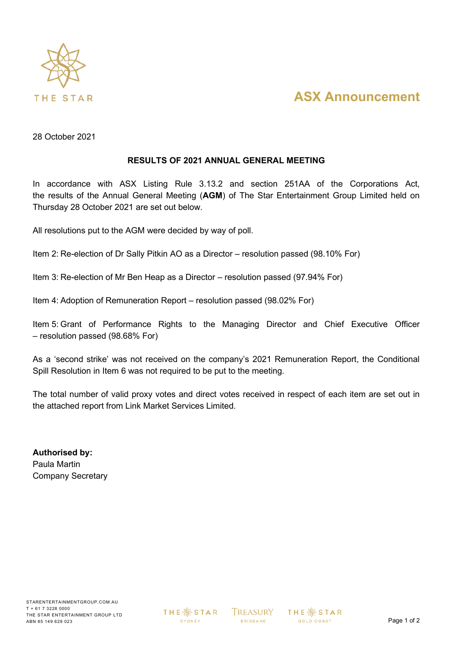

## **ASX Announcement**

28 October 2021

## **RESULTS OF 2021 ANNUAL GENERAL MEETING**

In accordance with ASX Listing Rule 3.13.2 and section 251AA of the Corporations Act, the results of the Annual General Meeting (**AGM**) of The Star Entertainment Group Limited held on Thursday 28 October 2021 are set out below.

All resolutions put to the AGM were decided by way of poll.

Item 2: Re-election of Dr Sally Pitkin AO as a Director – resolution passed (98.10% For)

Item 3: Re-election of Mr Ben Heap as a Director – resolution passed (97.94% For)

Item 4: Adoption of Remuneration Report – resolution passed (98.02% For)

Item 5: Grant of Performance Rights to the Managing Director and Chief Executive Officer – resolution passed (98.68% For)

As a 'second strike' was not received on the company's 2021 Remuneration Report, the Conditional Spill Resolution in Item 6 was not required to be put to the meeting.

The total number of valid proxy votes and direct votes received in respect of each item are set out in the attached report from Link Market Services Limited.

**Authorised by:** Paula Martin Company Secretary

**THE ※ STAR** SYDNEY

**TREASURY BRISBANE** 

**THE ※ STAR GOLD COAST**